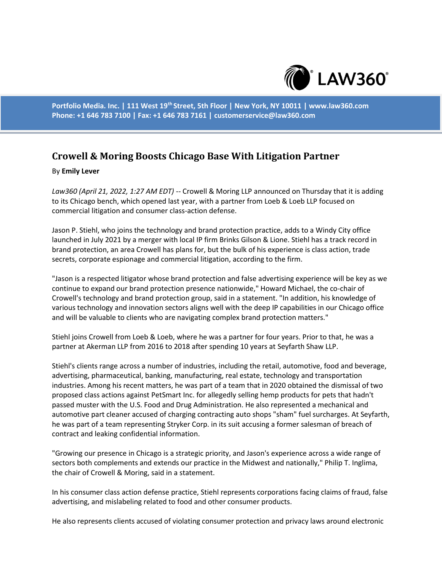

**Portfolio Media. Inc. | 111 West 19th Street, 5th Floor | New York, NY 10011 | www.law360.com Phone: +1 646 783 7100 | Fax: +1 646 783 7161 | customerservice@law360.com**

## **Crowell & Moring Boosts Chicago Base With Litigation Partner**

## By **Emily Lever**

*Law360 (April 21, 2022, 1:27 AM EDT)* -- Crowell & Moring LLP announced on Thursday that it is adding to its Chicago bench, which opened last year, with a partner from Loeb & Loeb LLP focused on commercial litigation and consumer class-action defense.

Jason P. Stiehl, who joins the technology and brand protection practice, adds to a Windy City office launched in July 2021 by a merger with local IP firm Brinks Gilson & Lione. Stiehl has a track record in brand protection, an area Crowell has plans for, but the bulk of his experience is class action, trade secrets, corporate espionage and commercial litigation, according to the firm.

"Jason is a respected litigator whose brand protection and false advertising experience will be key as we continue to expand our brand protection presence nationwide," Howard Michael, the co-chair of Crowell's technology and brand protection group, said in a statement. "In addition, his knowledge of various technology and innovation sectors aligns well with the deep IP capabilities in our Chicago office and will be valuable to clients who are navigating complex brand protection matters."

Stiehl joins Crowell from Loeb & Loeb, where he was a partner for four years. Prior to that, he was a partner at Akerman LLP from 2016 to 2018 after spending 10 years at Seyfarth Shaw LLP.

Stiehl's clients range across a number of industries, including the retail, automotive, food and beverage, advertising, pharmaceutical, banking, manufacturing, real estate, technology and transportation industries. Among his recent matters, he was part of a team that in 2020 obtained the dismissal of two proposed class actions against PetSmart Inc. for allegedly selling hemp products for pets that hadn't passed muster with the U.S. Food and Drug Administration. He also represented a mechanical and automotive part cleaner accused of charging contracting auto shops "sham" fuel surcharges. At Seyfarth, he was part of a team representing Stryker Corp. in its suit accusing a former salesman of breach of contract and leaking confidential information.

"Growing our presence in Chicago is a strategic priority, and Jason's experience across a wide range of sectors both complements and extends our practice in the Midwest and nationally," Philip T. Inglima, the chair of Crowell & Moring, said in a statement.

In his consumer class action defense practice, Stiehl represents corporations facing claims of fraud, false advertising, and mislabeling related to food and other consumer products.

He also represents clients accused of violating consumer protection and privacy laws around electronic